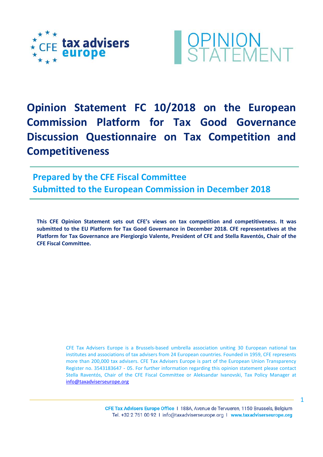



**Opinion Statement FC 10/2018 on the European Commission Platform for Tax Good Governance Discussion Questionnaire on Tax Competition and Competitiveness** 

**Prepared by the CFE Fiscal Committee Submitted to the European Commission in December 2018**

**This CFE Opinion Statement sets out CFE's views on tax competition and competitiveness. It was submitted to the EU Platform for Tax Good Governance in December 2018. CFE representatives at the Platform for Tax Governance are Piergiorgio Valente, President of CFE and Stella Raventós, Chair of the CFE Fiscal Committee.** 

> CFE Tax Advisers Europe is a Brussels-based umbrella association uniting 30 European national tax institutes and associations of tax advisers from 24 European countries. Founded in 1959, CFE represents more than 200,000 tax advisers. CFE Tax Advisers Europe is part of the European Union Transparency Register no. 3543183647 - 05. For further information regarding this opinion statement please contact Stella Raventós, Chair of the CFE Fiscal Committee or Aleksandar Ivanovski, Tax Policy Manager at [info@taxadviserseurope.org](mailto:info@taxadviserseurope.org)

> > CFE Tax Advisers Europe Office | 188A, Avenue de Tervueren, 1150 Brussels, Belgium Tel. +32 2 761 00 92 1 info@taxadviserseurope.org 1 www.taxadviserseurope.org

1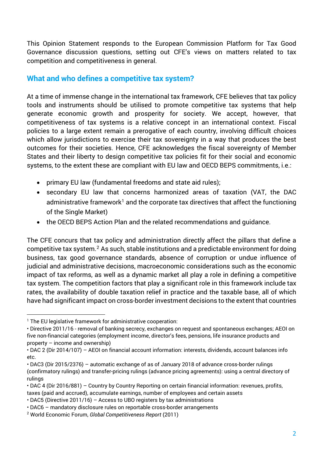This Opinion Statement responds to the European Commission Platform for Tax Good Governance discussion questions, setting out CFE's views on matters related to tax competition and competitiveness in general.

## **What and who defines a competitive tax system?**

At a time of immense change in the international tax framework, CFE believes that tax policy tools and instruments should be utilised to promote competitive tax systems that help generate economic growth and prosperity for society. We accept, however, that competitiveness of tax systems is a relative concept in an international context. Fiscal policies to a large extent remain a prerogative of each country, involving difficult choices which allow jurisdictions to exercise their tax sovereignty in a way that produces the best outcomes for their societies. Hence, CFE acknowledges the fiscal sovereignty of Member States and their liberty to design competitive tax policies fit for their social and economic systems, to the extent these are compliant with EU law and OECD BEPS commitments, i.e.:

- primary EU law (fundamental freedoms and state aid rules);
- secondary EU law that concerns harmonized areas of taxation (VAT, the DAC administrative framework<sup>[1](#page-1-0)</sup> and the corporate tax directives that affect the functioning of the Single Market)
- the OECD BEPS Action Plan and the related recommendations and guidance.

The CFE concurs that tax policy and administration directly affect the pillars that define a competitive tax system.[2](#page-1-1) As such, stable institutions and a predictable environment for doing business, tax good governance standards, absence of corruption or undue influence of judicial and administrative decisions, macroeconomic considerations such as the economic impact of tax reforms, as well as a dynamic market all play a role in defining a competitive tax system. The competition factors that play a significant role in this framework include tax rates, the availability of double taxation relief in practice and the taxable base, all of which have had significant impact on cross-border investment decisions to the extent that countries

 $\overline{a}$ 

<span id="page-1-0"></span><sup>&</sup>lt;sup>1</sup> The EU legislative framework for administrative cooperation:

<sup>•</sup> Directive 2011/16 - removal of banking secrecy, exchanges on request and spontaneous exchanges; AEOI on five non-financial categories (employment income, director's fees, pensions, life insurance products and property – income and ownership)

<sup>•</sup> DAC 2 (Dir 2014/107) – AEOI on financial account information: interests, dividends, account balances info etc.

<sup>•</sup> DAC3 (Dir 2015/2376) – automatic exchange of as of January 2018 of advance cross-border rulings (confirmatory rulings) and transfer-pricing rulings (advance pricing agreements): using a central directory of rulings

<sup>•</sup> DAC 4 (Dir 2016/881) – Country by Country Reporting on certain financial information: revenues, profits, taxes (paid and accrued), accumulate earnings, number of employees and certain assets

<sup>•</sup> DAC5 (Directive 2011/16) – Access to UBO registers by tax administrations

<sup>•</sup> DAC6 – mandatory disclosure rules on reportable cross-border arrangements

<span id="page-1-1"></span><sup>2</sup> World Economic Forum, *Global Competitiveness Report* (2011)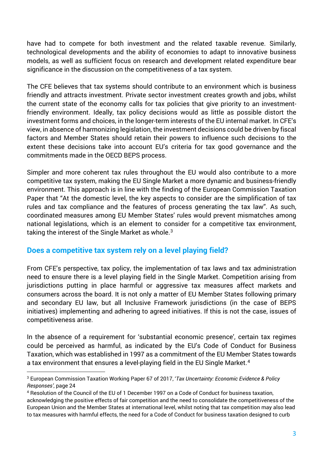have had to compete for both investment and the related taxable revenue. Similarly, technological developments and the ability of economies to adapt to innovative business models, as well as sufficient focus on research and development related expenditure bear significance in the discussion on the competitiveness of a tax system.

The CFE believes that tax systems should contribute to an environment which is business friendly and attracts investment. Private sector investment creates growth and jobs, whilst the current state of the economy calls for tax policies that give priority to an investmentfriendly environment. Ideally, tax policy decisions would as little as possible distort the investment forms and choices, in the longer-term interests of the EU internal market. In CFE's view, in absence of harmonizing legislation, the investment decisions could be driven by fiscal factors and Member States should retain their powers to influence such decisions to the extent these decisions take into account EU's criteria for tax good governance and the commitments made in the OECD BEPS process.

Simpler and more coherent tax rules throughout the EU would also contribute to a more competitive tax system, making the EU Single Market a more dynamic and business-friendly environment. This approach is in line with the finding of the European Commission Taxation Paper that "At the domestic level, the key aspects to consider are the simplification of tax rules and tax compliance and the features of process generating the tax law". As such, coordinated measures among EU Member States' rules would prevent mismatches among national legislations, which is an element to consider for a competitive tax environment, taking the interest of the Single Market as whole.<sup>[3](#page-2-0)</sup>

## **Does a competitive tax system rely on a level playing field?**

 $\overline{a}$ 

From CFE's perspective, tax policy, the implementation of tax laws and tax administration need to ensure there is a level playing field in the Single Market. Competition arising from jurisdictions putting in place harmful or aggressive tax measures affect markets and consumers across the board. It is not only a matter of EU Member States following primary and secondary EU law, but all Inclusive Framework jurisdictions (in the case of BEPS initiatives) implementing and adhering to agreed initiatives. If this is not the case, issues of competitiveness arise.

In the absence of a requirement for 'substantial economic presence', certain tax regimes could be perceived as harmful, as indicated by the EU's Code of Conduct for Business Taxation, which was established in 1997 as a commitment of the EU Member States towards a tax environment that ensures a level-playing field in the EU Single Market.<sup>[4](#page-2-1)</sup>

<span id="page-2-0"></span><sup>3</sup> European Commission Taxation Working Paper 67 of 2017, '*Tax Uncertainty: Economic Evidence & Policy Responses'*, page 24

<span id="page-2-1"></span><sup>4</sup> Resolution of the Council of the EU of 1 December 1997 on a Code of Conduct for business taxation, acknowledging the positive effects of fair competition and the need to consolidate the competitiveness of the European Union and the Member States at international level, whilst noting that tax competition may also lead to tax measures with harmful effects, the need for a Code of Conduct for business taxation designed to curb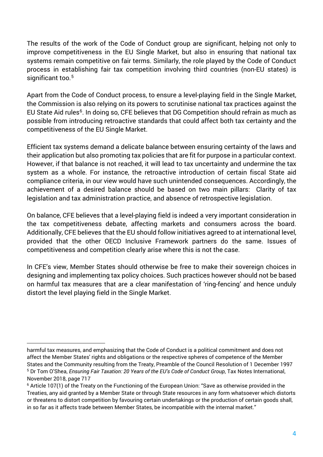The results of the work of the Code of Conduct group are significant, helping not only to improve competitiveness in the EU Single Market, but also in ensuring that national tax systems remain competitive on fair terms. Similarly, the role played by the Code of Conduct process in establishing fair tax competition involving third countries (non-EU states) is significant too.<sup>[5](#page-3-0)</sup>

Apart from the Code of Conduct process, to ensure a level-playing field in the Single Market, the Commission is also relying on its powers to scrutinise national tax practices against the EU State Aid rules<sup>[6](#page-3-1)</sup>. In doing so, CFE believes that DG Competition should refrain as much as possible from introducing retroactive standards that could affect both tax certainty and the competitiveness of the EU Single Market.

Efficient tax systems demand a delicate balance between ensuring certainty of the laws and their application but also promoting tax policies that are fit for purpose in a particular context. However, if that balance is not reached, it will lead to tax uncertainty and undermine the tax system as a whole. For instance, the retroactive introduction of certain fiscal State aid compliance criteria, in our view would have such unintended consequences. Accordingly, the achievement of a desired balance should be based on two main pillars: Clarity of tax legislation and tax administration practice, and absence of retrospective legislation.

On balance, CFE believes that a level-playing field is indeed a very important consideration in the tax competitiveness debate, affecting markets and consumers across the board. Additionally, CFE believes that the EU should follow initiatives agreed to at international level, provided that the other OECD Inclusive Framework partners do the same. Issues of competitiveness and competition clearly arise where this is not the case.

In CFE's view, Member States should otherwise be free to make their sovereign choices in designing and implementing tax policy choices. Such practices however should not be based on harmful tax measures that are a clear manifestation of 'ring-fencing' and hence unduly distort the level playing field in the Single Market.

 $\overline{a}$ 

harmful tax measures, and emphasizing that the Code of Conduct is a political commitment and does not affect the Member States' rights and obligations or the respective spheres of competence of the Member States and the Community resulting from the Treaty, Preamble of the Council Resolution of 1 December 1997 <sup>5</sup> Dr Tom O'Shea, *Ensuring Fair Taxation: 20 Years of the EU's Code of Conduct Group*, Tax Notes International, November 2018, page 717

<span id="page-3-1"></span><span id="page-3-0"></span><sup>&</sup>lt;sup>6</sup> Article 107(1) of the Treaty on the Functioning of the European Union: "Save as otherwise provided in the Treaties, any aid granted by a Member State or through State resources in any form whatsoever which distorts or threatens to distort competition by favouring certain undertakings or the production of certain goods shall, in so far as it affects trade between Member States, be incompatible with the internal market."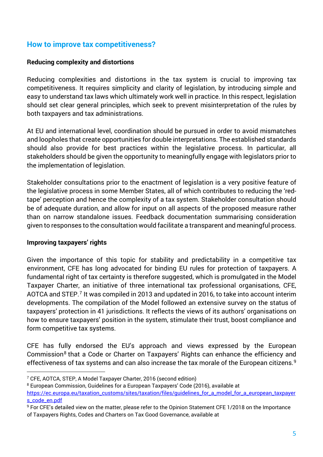## **How to improve tax competitiveness?**

#### **Reducing complexity and distortions**

Reducing complexities and distortions in the tax system is crucial to improving tax competitiveness. It requires simplicity and clarity of legislation, by introducing simple and easy to understand tax laws which ultimately work well in practice. In this respect, legislation should set clear general principles, which seek to prevent misinterpretation of the rules by both taxpayers and tax administrations.

At EU and international level, coordination should be pursued in order to avoid mismatches and loopholes that create opportunities for double interpretations. The established standards should also provide for best practices within the legislative process. In particular, all stakeholders should be given the opportunity to meaningfully engage with legislators prior to the implementation of legislation.

Stakeholder consultations prior to the enactment of legislation is a very positive feature of the legislative process in some Member States, all of which contributes to reducing the 'redtape' perception and hence the complexity of a tax system. Stakeholder consultation should be of adequate duration, and allow for input on all aspects of the proposed measure rather than on narrow standalone issues. Feedback documentation summarising consideration given to responses to the consultation would facilitate a transparent and meaningful process.

#### **Improving taxpayers' rights**

 $\overline{a}$ 

Given the importance of this topic for stability and predictability in a competitive tax environment, CFE has long advocated for binding EU rules for protection of taxpayers. A fundamental right of tax certainty is therefore suggested, which is promulgated in the Model Taxpayer Charter, an initiative of three international tax professional organisations, CFE, AOTCA and STEP.<sup>[7](#page-4-0)</sup> It was compiled in 2013 and updated in 2016, to take into account interim developments. The compilation of the Model followed an extensive survey on the status of taxpayers' protection in 41 jurisdictions. It reflects the views of its authors' organisations on how to ensure taxpayers' position in the system, stimulate their trust, boost compliance and form competitive tax systems.

CFE has fully endorsed the EU's approach and views expressed by the European Commission<sup>[8](#page-4-1)</sup> that a Code or Charter on Taxpayers' Rights can enhance the efficiency and effectiveness of tax systems and can also increase the tax morale of the European citizens.<sup>[9](#page-4-2)</sup>

<span id="page-4-0"></span><sup>7</sup> CFE, AOTCA, STEP, A Model Taxpayer Charter, 2016 (second edition)

<span id="page-4-1"></span><sup>8</sup> European Commission, Guidelines for a European Taxpayers' Code (2016), available at [https://ec.europa.eu/taxation\\_customs/sites/taxation/files/guidelines\\_for\\_a\\_model\\_for\\_a\\_european\\_taxpayer](https://ec.europa.eu/taxation_customs/sites/taxation/files/guidelines_for_a_model_for_a_european_taxpayers_code_en.pdf) [s\\_code\\_en.pdf](https://ec.europa.eu/taxation_customs/sites/taxation/files/guidelines_for_a_model_for_a_european_taxpayers_code_en.pdf)

<span id="page-4-2"></span><sup>9</sup> For CFE's detailed view on the matter, please refer to the Opinion Statement CFE 1/2018 on the Importance of Taxpayers Rights, Codes and Charters on Tax Good Governance, available at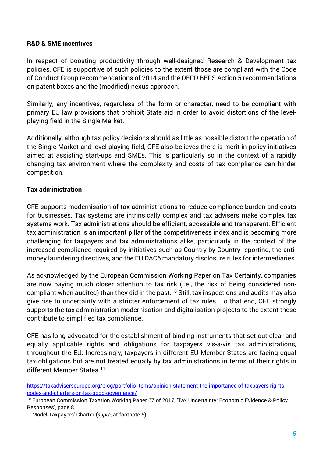#### **R&D & SME incentives**

In respect of boosting productivity through well-designed Research & Development tax policies, CFE is supportive of such policies to the extent those are compliant with the Code of Conduct Group recommendations of 2014 and the OECD BEPS Action 5 recommendations on patent boxes and the (modified) nexus approach.

Similarly, any incentives, regardless of the form or character, need to be compliant with primary EU law provisions that prohibit State aid in order to avoid distortions of the levelplaying field in the Single Market.

Additionally, although tax policy decisions should as little as possible distort the operation of the Single Market and level-playing field, CFE also believes there is merit in policy initiatives aimed at assisting start-ups and SMEs. This is particularly so in the context of a rapidly changing tax environment where the complexity and costs of tax compliance can hinder competition.

### **Tax administration**

 $\overline{a}$ 

CFE supports modernisation of tax administrations to reduce compliance burden and costs for businesses. Tax systems are intrinsically complex and tax advisers make complex tax systems work. Tax administrations should be efficient, accessible and transparent. Efficient tax administration is an important pillar of the competitiveness index and is becoming more challenging for taxpayers and tax administrations alike, particularly in the context of the increased compliance required by initiatives such as Country-by-Country reporting, the antimoney laundering directives, and the EU DAC6 mandatory disclosure rules for intermediaries.

As acknowledged by the European Commission Working Paper on Tax Certainty, companies are now paying much closer attention to tax risk (i.e., the risk of being considered non-compliant when audited) than they did in the past.<sup>[10](#page-5-0)</sup> Still, tax inspections and audits may also give rise to uncertainty with a stricter enforcement of tax rules. To that end, CFE strongly supports the tax administration modernisation and digitalisation projects to the extent these contribute to simplified tax compliance.

CFE has long advocated for the establishment of binding instruments that set out clear and equally applicable rights and obligations for taxpayers vis-a-vis tax administrations, throughout the EU. Increasingly, taxpayers in different EU Member States are facing equal tax obligations but are not treated equally by tax administrations in terms of their rights in different Member States.<sup>[11](#page-5-1)</sup>

[https://taxadviserseurope.org/blog/portfolio-items/opinion-statement-the-importance-of-taxpayers-rights](https://taxadviserseurope.org/blog/portfolio-items/opinion-statement-the-importance-of-taxpayers-rights-codes-and-charters-on-tax-good-governance/)[codes-and-charters-on-tax-good-governance/](https://taxadviserseurope.org/blog/portfolio-items/opinion-statement-the-importance-of-taxpayers-rights-codes-and-charters-on-tax-good-governance/)

<span id="page-5-0"></span><sup>&</sup>lt;sup>10</sup> European Commission Taxation Working Paper 67 of 2017, 'Tax Uncertainty: Economic Evidence & Policy Responses', page 8

<span id="page-5-1"></span><sup>11</sup> Model Taxpayers' Charter (*supra*, at footnote 5)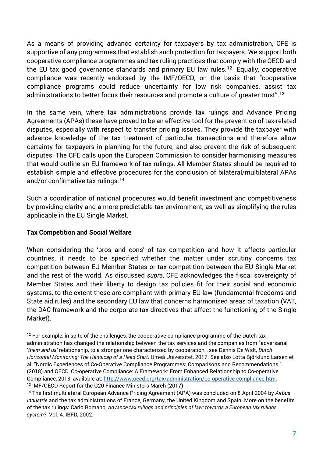As a means of providing advance certainty for taxpayers by tax administration, CFE is supportive of any programmes that establish such protection for taxpayers. We support both cooperative compliance programmes and tax ruling practices that comply with the OECD and the EU tax good governance standards and primary EU law rules.<sup>[12](#page-6-0)</sup> Equally, cooperative compliance was recently endorsed by the IMF/OECD, on the basis that "cooperative compliance programs could reduce uncertainty for low risk companies, assist tax administrations to better focus their resources and promote a culture of greater trust".[13](#page-6-1)

In the same vein, where tax administrations provide tax rulings and Advance Pricing Agreements (APAs) these have proved to be an effective tool for the prevention of tax-related disputes, especially with respect to transfer pricing issues. They provide the taxpayer with advance knowledge of the tax treatment of particular transactions and therefore allow certainty for taxpayers in planning for the future, and also prevent the risk of subsequent disputes. The CFE calls upon the European Commission to consider harmonising measures that would outline an EU framework of tax rulings. All Member States should be required to establish simple and effective procedures for the conclusion of bilateral/multilateral APAs and/or confirmative tax rulings.<sup>[14](#page-6-2)</sup>

Such a coordination of national procedures would benefit investment and competitiveness by providing clarity and a more predictable tax environment, as well as simplifying the rules applicable in the EU Single Market.

#### **Tax Competition and Social Welfare**

 $\overline{a}$ 

When considering the 'pros and cons' of tax competition and how it affects particular countries, it needs to be specified whether the matter under scrutiny concerns tax competition between EU Member States or tax competition between the EU Single Market and the rest of the world. As discussed *supra*, CFE acknowledges the fiscal sovereignty of Member States and their liberty to design tax policies fit for their social and economic systems, to the extent these are compliant with primary EU law (fundamental freedoms and State aid rules) and the secondary EU law that concerns harmonised areas of taxation (VAT, the DAC framework and the corporate tax directives that affect the functioning of the Single Market).

<span id="page-6-0"></span> $12$  For example, in spite of the challenges, the cooperative compliance programme of the Dutch tax administration has changed the relationship between the tax services and the companies from "adversarial '*them and us'* relationship, to a stronger one characterised by cooperation", see Dennis De Widt, *Dutch Horizontal Monitoring: The Handicap of a Head Start*. Umeå Universitet, 2017. See also Lotta Björklund Larsen et al. "Nordic Experiences of Co-Operative Compliance Programmes: Comparisons and Recommendations." (2018) and OECD, Co-operative Compliance: A Framework: From Enhanced Relationship to Co-operative Compliance, 2013, available at: [http://www.oecd.org/tax/administration/co-operative-compliance.htm.](http://www.oecd.org/tax/administration/co-operative-compliance.htm) <sup>13</sup> IMF/OECD Report for the G20 Finance Ministers March (2017)

<span id="page-6-2"></span><span id="page-6-1"></span><sup>14</sup> The first multilateral European Advance Pricing Agreement (APA) was concluded on 8 April 2004 by *Airbus Industrie* and the tax administrations of France, Germany, the United Kingdom and Spain. More on the benefits of the tax rulings: Carlo Romano, *Advance tax rulings and principles of law: towards a European tax rulings system?*. Vol. 4. IBFD, 2002.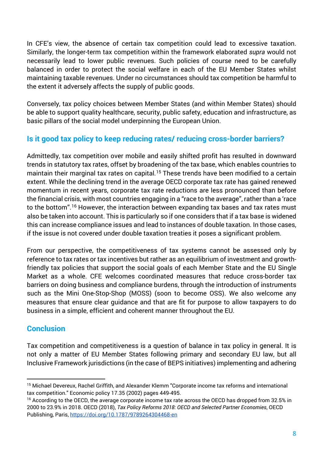In CFE's view, the absence of certain tax competition could lead to excessive taxation. Similarly, the longer-term tax competition within the framework elaborated *supra* would not necessarily lead to lower public revenues. Such policies of course need to be carefully balanced in order to protect the social welfare in each of the EU Member States whilst maintaining taxable revenues. Under no circumstances should tax competition be harmful to the extent it adversely affects the supply of public goods.

Conversely, tax policy choices between Member States (and within Member States) should be able to support quality healthcare, security, public safety, education and infrastructure, as basic pillars of the social model underpinning the European Union.

# **Is it good tax policy to keep reducing rates/ reducing cross-border barriers?**

Admittedly, tax competition over mobile and easily shifted profit has resulted in downward trends in statutory tax rates, offset by broadening of the tax base, which enables countries to maintain their marginal tax rates on capital.<sup>[15](#page-7-0)</sup> These trends have been modified to a certain extent. While the declining trend in the average OECD corporate tax rate has gained renewed momentum in recent years, corporate tax rate reductions are less pronounced than before the financial crisis, with most countries engaging in a "race to the average", rather than a 'race to the bottom".<sup>[16](#page-7-1)</sup> However, the interaction between expanding tax bases and tax rates must also be taken into account. This is particularly so if one considers that if a tax base is widened this can increase compliance issues and lead to instances of double taxation. In those cases, if the issue is not covered under double taxation treaties it poses a significant problem.

From our perspective, the competitiveness of tax systems cannot be assessed only by reference to tax rates or tax incentives but rather as an equilibrium of investment and growthfriendly tax policies that support the social goals of each Member State and the EU Single Market as a whole. CFE welcomes coordinated measures that reduce cross-border tax barriers on doing business and compliance burdens, through the introduction of instruments such as the Mini One-Stop-Shop (MOSS) (soon to become OSS). We also welcome any measures that ensure clear guidance and that are fit for purpose to allow taxpayers to do business in a simple, efficient and coherent manner throughout the EU.

# **Conclusion**

 $\overline{a}$ 

Tax competition and competitiveness is a question of balance in tax policy in general. It is not only a matter of EU Member States following primary and secondary EU law, but all Inclusive Framework jurisdictions (in the case of BEPS initiatives) implementing and adhering

<span id="page-7-0"></span><sup>&</sup>lt;sup>15</sup> Michael Devereux, Rachel Griffith, and Alexander Klemm "Corporate income tax reforms and international tax competition." Economic policy 17.35 (2002) pages 449-495.

<span id="page-7-1"></span><sup>&</sup>lt;sup>16</sup> According to the OECD, the average corporate income tax rate across the OECD has dropped from 32.5% in 2000 to 23.9% in 2018. OECD (2018), *Tax Policy Reforms 2018: OECD and Selected Partner Economies*, OECD Publishing, Paris,<https://doi.org/10.1787/9789264304468-en>